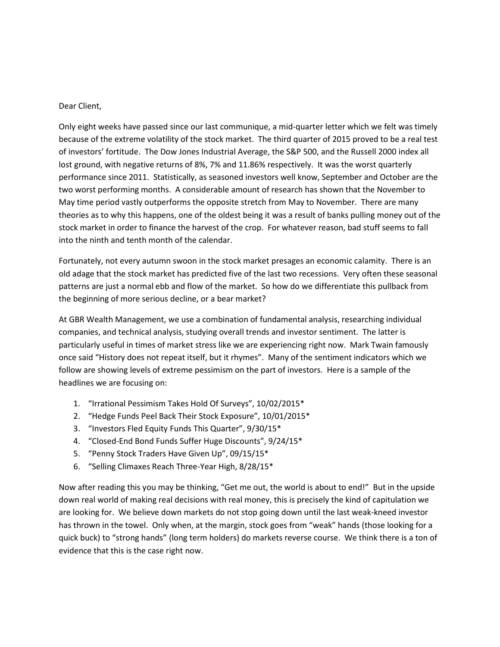## Dear Client,

Only eight weeks have passed since our last communique, a mid-quarter letter which we felt was timely because of the extreme volatility of the stock market. The third quarter of 2015 proved to be a real test of investors' fortitude. The Dow Jones Industrial Average, the S&P 500, and the Russell 2000 index all lost ground, with negative returns of 8%, 7% and 11.86% respectively. It was the worst quarterly performance since 2011. Statistically, as seasoned investors well know, September and October are the two worst performing months. A considerable amount of research has shown that the November to May time period vastly outperforms the opposite stretch from May to November. There are many theories as to why this happens, one of the oldest being it was a result of banks pulling money out of the stock market in order to finance the harvest of the crop. For whatever reason, bad stuff seems to fall into the ninth and tenth month of the calendar.

Fortunately, not every autumn swoon in the stock market presages an economic calamity. There is an old adage that the stock market has predicted five of the last two recessions. Very often these seasonal patterns are just a normal ebb and flow of the market. So how do we differentiate this pullback from the beginning of more serious decline, or a bear market?

At GBR Wealth Management, we use a combination of fundamental analysis, researching individual companies, and technical analysis, studying overall trends and investor sentiment. The latter is particularly useful in times of market stress like we are experiencing right now. Mark Twain famously once said "History does not repeat itself, but it rhymes". Many of the sentiment indicators which we follow are showing levels of extreme pessimism on the part of investors. Here is a sample of the headlines we are focusing on:

- 1. "Irrational Pessimism Takes Hold Of Surveys", 10/02/2015\*
- 2. "Hedge Funds Peel Back Their Stock Exposure", 10/01/2015\*
- 3. "Investors Fled Equity Funds This Quarter", 9/30/15\*
- 4. "Closed-End Bond Funds Suffer Huge Discounts", 9/24/15\*
- 5. "Penny Stock Traders Have Given Up", 09/15/15\*
- 6. "Selling Climaxes Reach Three-Year High, 8/28/15\*

Now after reading this you may be thinking, "Get me out, the world is about to end!" But in the upside down real world of making real decisions with real money, this is precisely the kind of capitulation we are looking for. We believe down markets do not stop going down until the last weak-kneed investor has thrown in the towel. Only when, at the margin, stock goes from "weak" hands (those looking for a quick buck) to "strong hands" (long term holders) do markets reverse course. We think there is a ton of evidence that this is the case right now.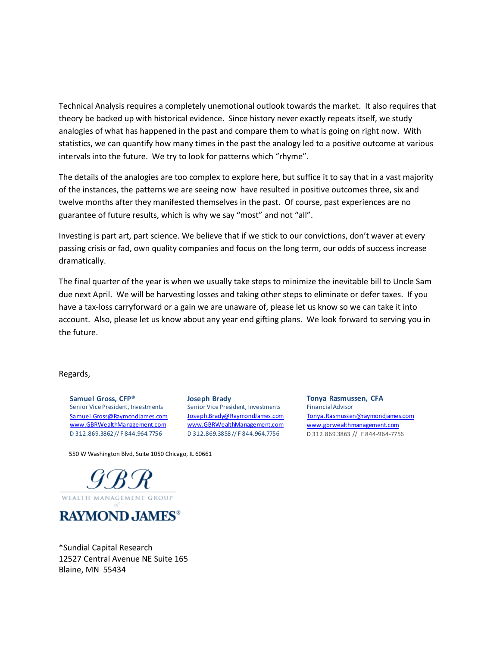Technical Analysis requires a completely unemotional outlook towards the market. It also requires that theory be backed up with historical evidence. Since history never exactly repeats itself, we study analogies of what has happened in the past and compare them to what is going on right now. With statistics, we can quantify how many times in the past the analogy led to a positive outcome at various intervals into the future. We try to look for patterns which "rhyme".

The details of the analogies are too complex to explore here, but suffice it to say that in a vast majority of the instances, the patterns we are seeing now have resulted in positive outcomes three, six and twelve months after they manifested themselves in the past. Of course, past experiences are no guarantee of future results, which is why we say "most" and not "all".

Investing is part art, part science. We believe that if we stick to our convictions, don't waver at every passing crisis or fad, own quality companies and focus on the long term, our odds of success increase dramatically.

The final quarter of the year is when we usually take steps to minimize the inevitable bill to Uncle Sam due next April. We will be harvesting losses and taking other steps to eliminate or defer taxes. If you have a tax-loss carryforward or a gain we are unaware of, please let us know so we can take it into account. Also, please let us know about any year end gifting plans. We look forward to serving you in the future.

## Regards,

**Samuel Gross, CFP®** Senior Vice President, Investments [Samuel.Gross@RaymondJames.com](mailto:Samuel.Gross@RaymondJames.com) www.GBRWealthManagement.com D 312.869.3862 // F 844.964.7756

**Joseph Brady** Senior Vice President, Investments Joseph.Brady@RaymondJames.com [www.GBRWealthManagement.com](mailto:Joseph.Brady@RaymondJames.com) D 312.869.3858 // F 844.964.7756

**Tonya Rasmussen, CFA** Financial Advisor [Tonya.Rasmussen@raymondjames.com](mailto:Tonya.Rasmussen@raymondjames.com) www.gbrwealthmanagement.com D 312.869.3863 // F 844-964-7756

550 W Washington Blvd, Suite 1050 Chicago, IL 60661



**RAYMOND JAMES®** 

\*Sundial Capital Research 12527 Central Avenue NE Suite 165 Blaine, MN 55434